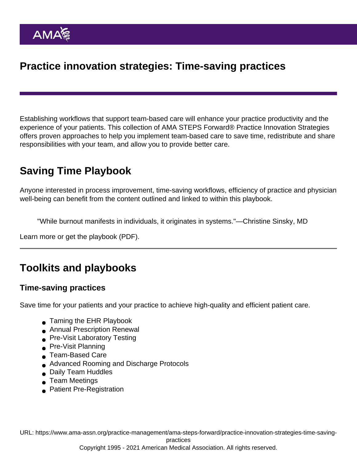## Practice innovation strategies: Time-saving practices

Establishing workflows that support team-based care will enhance your practice productivity and the experience of your patients. This collection of AMA STEPS Forward® Practice Innovation Strategies offers proven approaches to help you implement team-based care to save time, redistribute and share responsibilities with your team, and allow you to provide better care.

# Saving Time Playbook

Anyone interested in process improvement, time-saving workflows, efficiency of practice and physician well-being can benefit from the content outlined and linked to within this playbook.

"While burnout manifests in individuals, it originates in systems."—Christine Sinsky, MD

[Learn more](https://www.ama-assn.org/practice-management/sustainability/ama-steps-forward-saving-time-playbook-physicians) or [get the playbook](https://www.ama-assn.org/system/files/ama-steps-forward-saving-time-playbook.pdf) (PDF).

## Toolkits and playbooks

#### Time-saving practices

Save time for your patients and your practice to achieve high-quality and efficient patient care.

- [Taming the EHR Playbook](https://www.ama-assn.org/practice-management/ama-steps-forward/taming-ehr-playbook)
- [Annual Prescription Renewal](https://edhub.ama-assn.org/steps-forward/module/2702751)
- **[Pre-Visit Laboratory Testing](https://edhub.ama-assn.org/steps-forward/module/2702697)**
- **[Pre-Visit Planning](https://edhub.ama-assn.org/steps-forward/module/2702514)**
- [Team-Based Care](https://edhub.ama-assn.org/steps-forward/module/2702513)
- [Advanced Rooming and Discharge Protocols](https://edhub.ama-assn.org/steps-forward/module/2702600)
- [Daily Team Huddles](https://edhub.ama-assn.org/steps-forward/module/2702506)
- [Team Meetings](https://edhub.ama-assn.org/steps-forward/module/2702508)
- **[Patient Pre-Registration](https://edhub.ama-assn.org/steps-forward/module/2702557)**

URL: [https://www.ama-assn.org/practice-management/ama-steps-forward/practice-innovation-strategies-time-saving-](https://www.ama-assn.org/practice-management/ama-steps-forward/practice-innovation-strategies-time-saving-practices)

[practices](https://www.ama-assn.org/practice-management/ama-steps-forward/practice-innovation-strategies-time-saving-practices)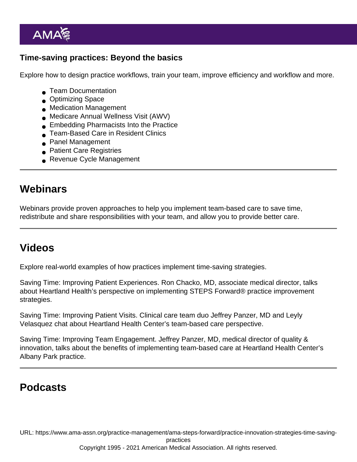#### Time-saving practices: Beyond the basics

Explore how to design practice workflows, train your team, improve efficiency and workflow and more.

- **■** [Team Documentation](https://edhub.ama-assn.org/steps-forward/module/2702598)
- **[Optimizing Space](https://edhub.ama-assn.org/steps-forward/module/2702559)**
- [Medication Management](https://edhub.ama-assn.org/steps-forward/module/2757863)
- [Medicare Annual Wellness Visit \(AWV\)](https://edhub.ama-assn.org/steps-forward/module/2757861)
- **[Embedding Pharmacists Into the Practice](https://edhub.ama-assn.org/steps-forward/module/2702554)**
- [Team-Based Care in Resident Clinics](https://edhub.ama-assn.org/steps-forward/module/2757859)
- **[Panel Management](https://edhub.ama-assn.org/steps-forward/module/2702192)**
- **[Patient Care Registries](https://edhub.ama-assn.org/steps-forward/module/2702745)**
- [Revenue Cycle Management](https://edhub.ama-assn.org/steps-forward/module/2702603)

### **Webinars**

Webinars provide proven approaches to help you implement team-based care to save time, redistribute and share responsibilities with your team, and allow you to provide better care.

## Videos

Explore real-world examples of how practices implement time-saving strategies.

[Saving Time: Improving Patient Experiences](https://youtu.be/zED6I9SPnbY). Ron Chacko, MD, associate medical director, talks about Heartland Health's perspective on implementing STEPS Forward® practice improvement strategies.

[Saving Time: Improving Patient Visits.](https://youtu.be/a0IMoh_Q-eQ) Clinical care team duo Jeffrey Panzer, MD and Leyly Velasquez chat about Heartland Health Center's team-based care perspective.

[Saving Time: Improving Team Engagement](https://youtu.be/nL3IdGM6QuY). Jeffrey Panzer, MD, medical director of quality & innovation, talks about the benefits of implementing team-based care at Heartland Health Center's Albany Park practice.

## Podcasts

URL: [https://www.ama-assn.org/practice-management/ama-steps-forward/practice-innovation-strategies-time-saving](https://www.ama-assn.org/practice-management/ama-steps-forward/practice-innovation-strategies-time-saving-practices)[practices](https://www.ama-assn.org/practice-management/ama-steps-forward/practice-innovation-strategies-time-saving-practices)